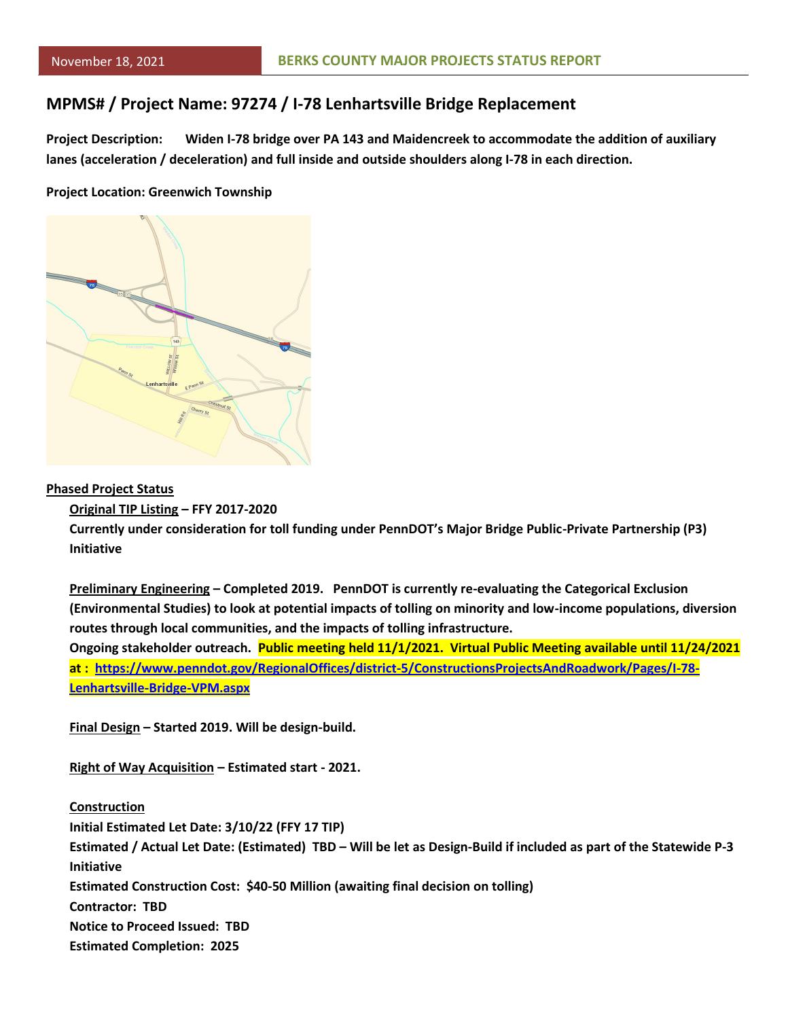### **MPMS# / Project Name: 97274 / I-78 Lenhartsville Bridge Replacement**

**Project Description: Widen I-78 bridge over PA 143 and Maidencreek to accommodate the addition of auxiliary lanes (acceleration / deceleration) and full inside and outside shoulders along I-78 in each direction.**

#### **Project Location: Greenwich Township**



### **Phased Project Status**

#### **Original TIP Listing – FFY 2017-2020**

**Currently under consideration for toll funding under PennDOT's Major Bridge Public-Private Partnership (P3) Initiative**

**Preliminary Engineering – Completed 2019. PennDOT is currently re-evaluating the Categorical Exclusion (Environmental Studies) to look at potential impacts of tolling on minority and low-income populations, diversion routes through local communities, and the impacts of tolling infrastructure.**

**Ongoing stakeholder outreach. Public meeting held 11/1/2021. Virtual Public Meeting available until 11/24/2021 at : [https://www.penndot.gov/RegionalOffices/district-5/ConstructionsProjectsAndRoadwork/Pages/I-78-](https://www.penndot.gov/RegionalOffices/district-5/ConstructionsProjectsAndRoadwork/Pages/I-78-Lenhartsville-Bridge-VPM.aspx) [Lenhartsville-Bridge-VPM.aspx](https://www.penndot.gov/RegionalOffices/district-5/ConstructionsProjectsAndRoadwork/Pages/I-78-Lenhartsville-Bridge-VPM.aspx)**

**Final Design – Started 2019. Will be design-build.**

**Right of Way Acquisition – Estimated start - 2021.**

**Construction Initial Estimated Let Date: 3/10/22 (FFY 17 TIP) Estimated / Actual Let Date: (Estimated) TBD – Will be let as Design-Build if included as part of the Statewide P-3 Initiative Estimated Construction Cost: \$40-50 Million (awaiting final decision on tolling) Contractor: TBD Notice to Proceed Issued: TBD Estimated Completion: 2025**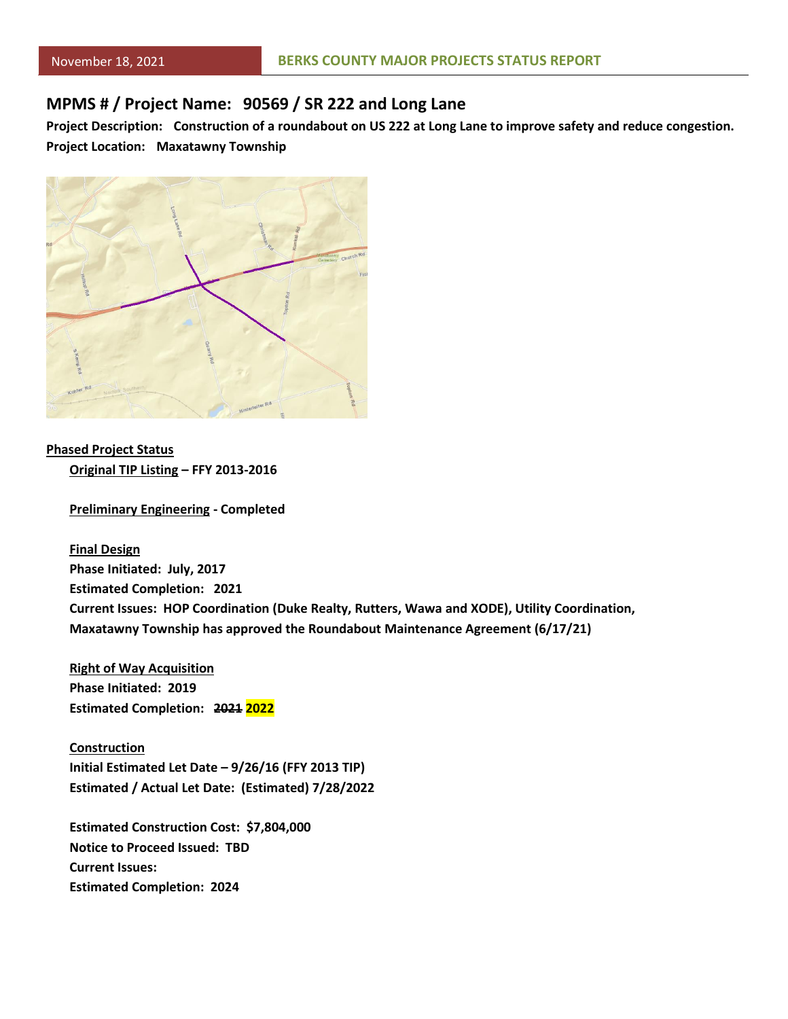### **MPMS # / Project Name: 90569 / SR 222 and Long Lane**

**Project Description: Construction of a roundabout on US 222 at Long Lane to improve safety and reduce congestion. Project Location: Maxatawny Township**



**Phased Project Status Original TIP Listing – FFY 2013-2016**

**Preliminary Engineering - Completed**

**Final Design Phase Initiated: July, 2017 Estimated Completion: 2021 Current Issues: HOP Coordination (Duke Realty, Rutters, Wawa and XODE), Utility Coordination, Maxatawny Township has approved the Roundabout Maintenance Agreement (6/17/21)**

**Right of Way Acquisition Phase Initiated: 2019 Estimated Completion: 2021 2022**

**Construction Initial Estimated Let Date – 9/26/16 (FFY 2013 TIP) Estimated / Actual Let Date: (Estimated) 7/28/2022**

**Estimated Construction Cost: \$7,804,000 Notice to Proceed Issued: TBD Current Issues: Estimated Completion: 2024**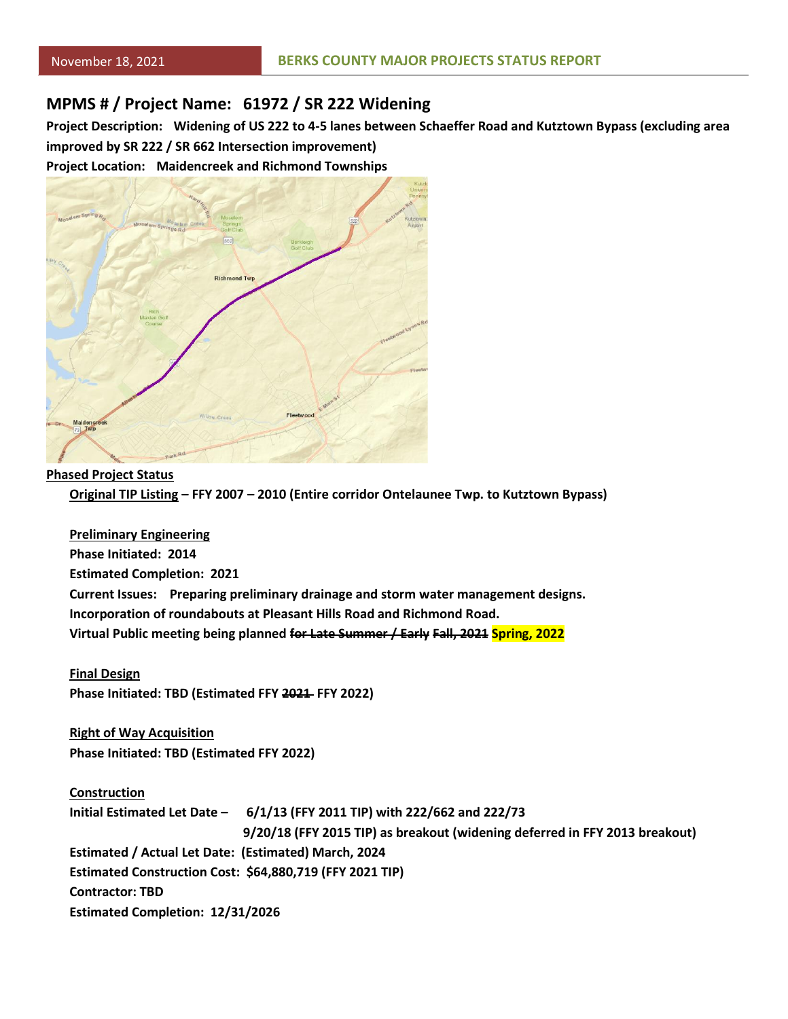### **MPMS # / Project Name: 61972 / SR 222 Widening**

**Project Description: Widening of US 222 to 4-5 lanes between Schaeffer Road and Kutztown Bypass (excluding area improved by SR 222 / SR 662 Intersection improvement)**

**Project Location: Maidencreek and Richmond Townships**



### **Phased Project Status**

**Original TIP Listing – FFY 2007 – 2010 (Entire corridor Ontelaunee Twp. to Kutztown Bypass)**

**Preliminary Engineering Phase Initiated: 2014 Estimated Completion: 2021 Current Issues: Preparing preliminary drainage and storm water management designs. Incorporation of roundabouts at Pleasant Hills Road and Richmond Road. Virtual Public meeting being planned for Late Summer / Early Fall, 2021 Spring, 2022**

**Final Design Phase Initiated: TBD (Estimated FFY 2021 FFY 2022)**

**Right of Way Acquisition Phase Initiated: TBD (Estimated FFY 2022)**

**Construction Initial Estimated Let Date – 6/1/13 (FFY 2011 TIP) with 222/662 and 222/73 9/20/18 (FFY 2015 TIP) as breakout (widening deferred in FFY 2013 breakout) Estimated / Actual Let Date: (Estimated) March, 2024 Estimated Construction Cost: \$64,880,719 (FFY 2021 TIP) Contractor: TBD Estimated Completion: 12/31/2026**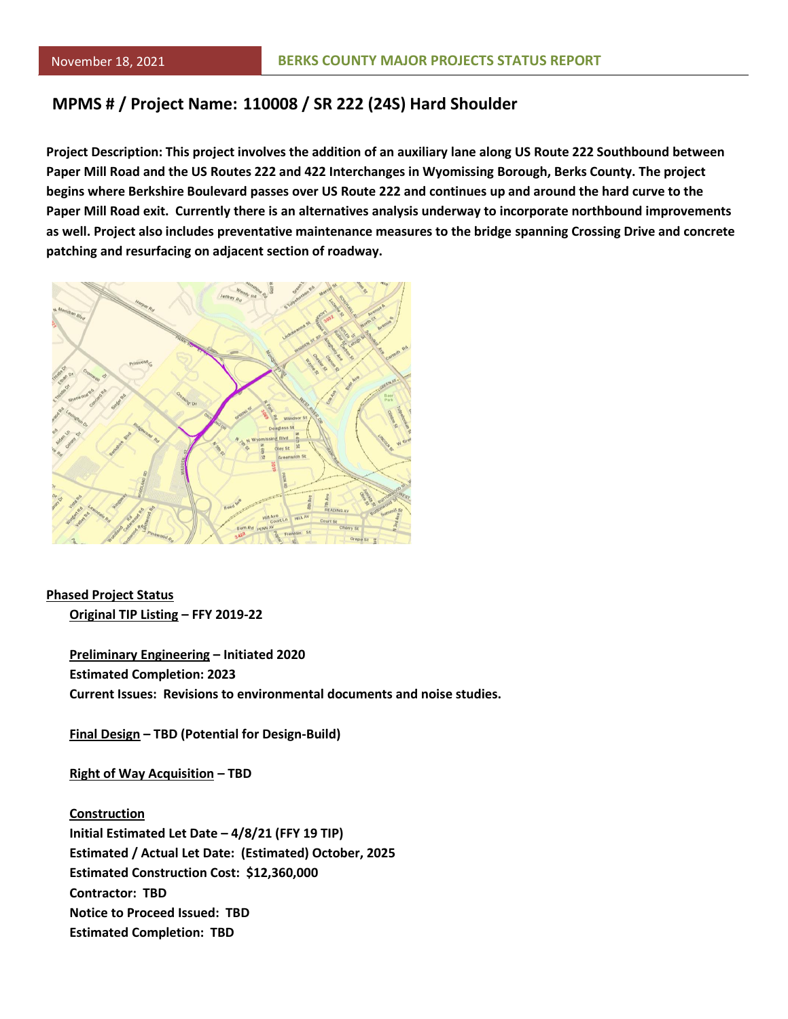## **MPMS # / Project Name: 110008 / SR 222 (24S) Hard Shoulder**

**Project Description: This project involves the addition of an auxiliary lane along US Route 222 Southbound between Paper Mill Road and the US Routes 222 and 422 Interchanges in Wyomissing Borough, Berks County. The project begins where Berkshire Boulevard passes over US Route 222 and continues up and around the hard curve to the Paper Mill Road exit. Currently there is an alternatives analysis underway to incorporate northbound improvements as well. Project also includes preventative maintenance measures to the bridge spanning Crossing Drive and concrete patching and resurfacing on adjacent section of roadway.**



**Phased Project Status Original TIP Listing – FFY 2019-22**

> **Preliminary Engineering – Initiated 2020 Estimated Completion: 2023 Current Issues: Revisions to environmental documents and noise studies.**

**Final Design – TBD (Potential for Design-Build)**

**Right of Way Acquisition – TBD**

**Construction Initial Estimated Let Date – 4/8/21 (FFY 19 TIP) Estimated / Actual Let Date: (Estimated) October, 2025 Estimated Construction Cost: \$12,360,000 Contractor: TBD Notice to Proceed Issued: TBD Estimated Completion: TBD**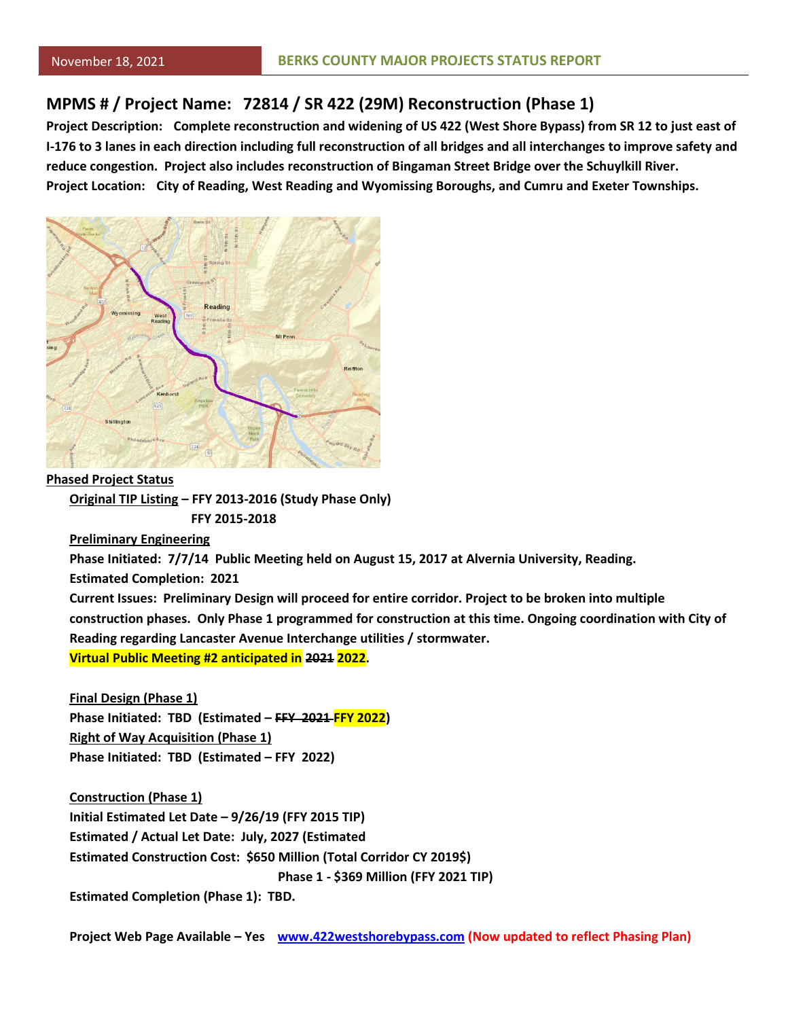### **MPMS # / Project Name: 72814 / SR 422 (29M) Reconstruction (Phase 1)**

**Project Description: Complete reconstruction and widening of US 422 (West Shore Bypass) from SR 12 to just east of I-176 to 3 lanes in each direction including full reconstruction of all bridges and all interchanges to improve safety and reduce congestion. Project also includes reconstruction of Bingaman Street Bridge over the Schuylkill River. Project Location: City of Reading, West Reading and Wyomissing Boroughs, and Cumru and Exeter Townships.**



**Phased Project Status**

**Original TIP Listing – FFY 2013-2016 (Study Phase Only) FFY 2015-2018**

**Preliminary Engineering**

**Phase Initiated: 7/7/14 Public Meeting held on August 15, 2017 at Alvernia University, Reading.**

**Estimated Completion: 2021**

**Current Issues: Preliminary Design will proceed for entire corridor. Project to be broken into multiple construction phases. Only Phase 1 programmed for construction at this time. Ongoing coordination with City of Reading regarding Lancaster Avenue Interchange utilities / stormwater. Virtual Public Meeting #2 anticipated in 2021 2022.**

**Final Design (Phase 1) Phase Initiated: TBD (Estimated – FFY 2021 FFY 2022) Right of Way Acquisition (Phase 1) Phase Initiated: TBD (Estimated – FFY 2022)**

**Construction (Phase 1) Initial Estimated Let Date – 9/26/19 (FFY 2015 TIP) Estimated / Actual Let Date: July, 2027 (Estimated Estimated Construction Cost: \$650 Million (Total Corridor CY 2019\$) Phase 1 - \$369 Million (FFY 2021 TIP) Estimated Completion (Phase 1): TBD.**

**Project Web Page Available – Yes [www.422westshorebypass.com](http://www.422westshorebypass.com/) (Now updated to reflect Phasing Plan)**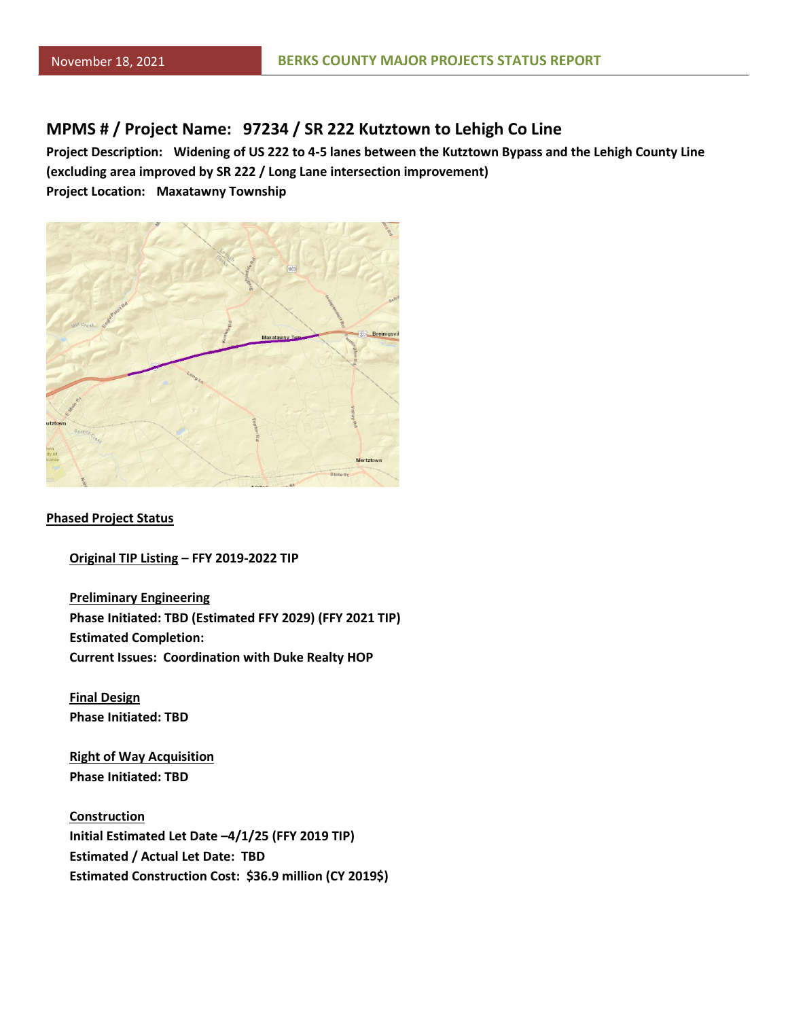### **MPMS # / Project Name: 97234 / SR 222 Kutztown to Lehigh Co Line**

**Project Description: Widening of US 222 to 4-5 lanes between the Kutztown Bypass and the Lehigh County Line (excluding area improved by SR 222 / Long Lane intersection improvement) Project Location: Maxatawny Township**



#### **Phased Project Status**

**Original TIP Listing – FFY 2019-2022 TIP**

**Preliminary Engineering Phase Initiated: TBD (Estimated FFY 2029) (FFY 2021 TIP) Estimated Completion: Current Issues: Coordination with Duke Realty HOP**

**Final Design Phase Initiated: TBD**

**Right of Way Acquisition Phase Initiated: TBD**

**Construction Initial Estimated Let Date –4/1/25 (FFY 2019 TIP) Estimated / Actual Let Date: TBD Estimated Construction Cost: \$36.9 million (CY 2019\$)**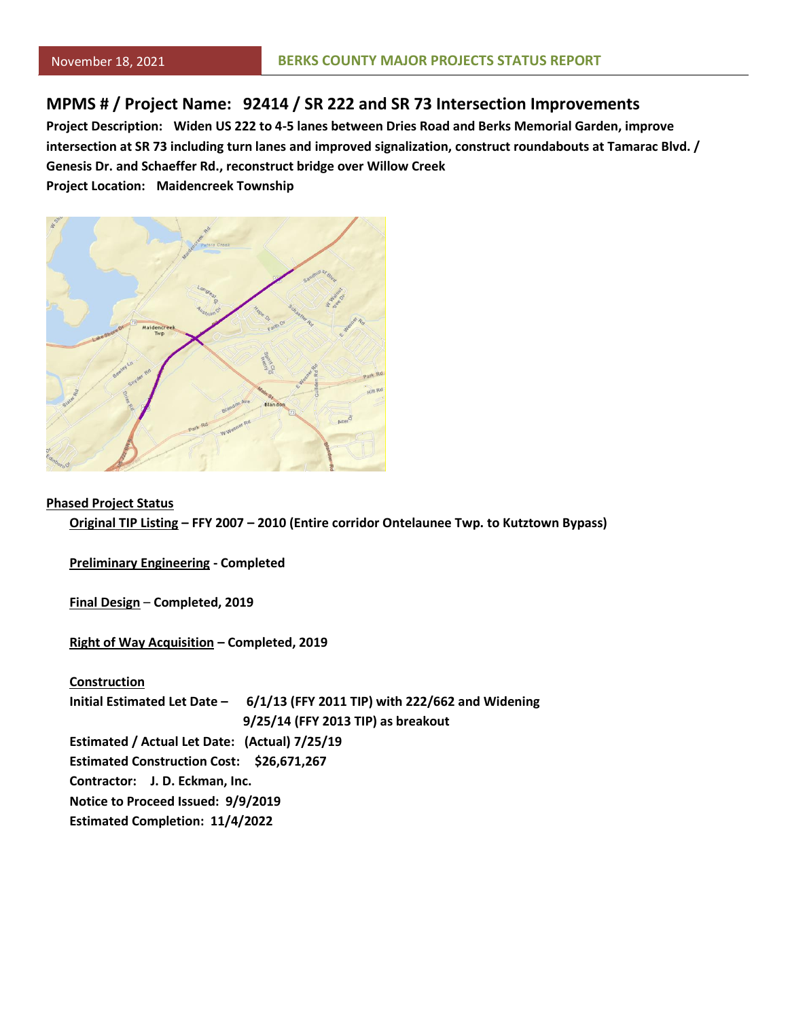### **MPMS # / Project Name: 92414 / SR 222 and SR 73 Intersection Improvements**

**Project Description: Widen US 222 to 4-5 lanes between Dries Road and Berks Memorial Garden, improve intersection at SR 73 including turn lanes and improved signalization, construct roundabouts at Tamarac Blvd. / Genesis Dr. and Schaeffer Rd., reconstruct bridge over Willow Creek**

**Project Location: Maidencreek Township**



#### **Phased Project Status**

**Original TIP Listing – FFY 2007 – 2010 (Entire corridor Ontelaunee Twp. to Kutztown Bypass)**

**Preliminary Engineering - Completed**

**Final Design** – **Completed, 2019**

**Right of Way Acquisition – Completed, 2019**

**Construction Initial Estimated Let Date – 6/1/13 (FFY 2011 TIP) with 222/662 and Widening 9/25/14 (FFY 2013 TIP) as breakout Estimated / Actual Let Date: (Actual) 7/25/19 Estimated Construction Cost: \$26,671,267 Contractor: J. D. Eckman, Inc. Notice to Proceed Issued: 9/9/2019 Estimated Completion: 11/4/2022**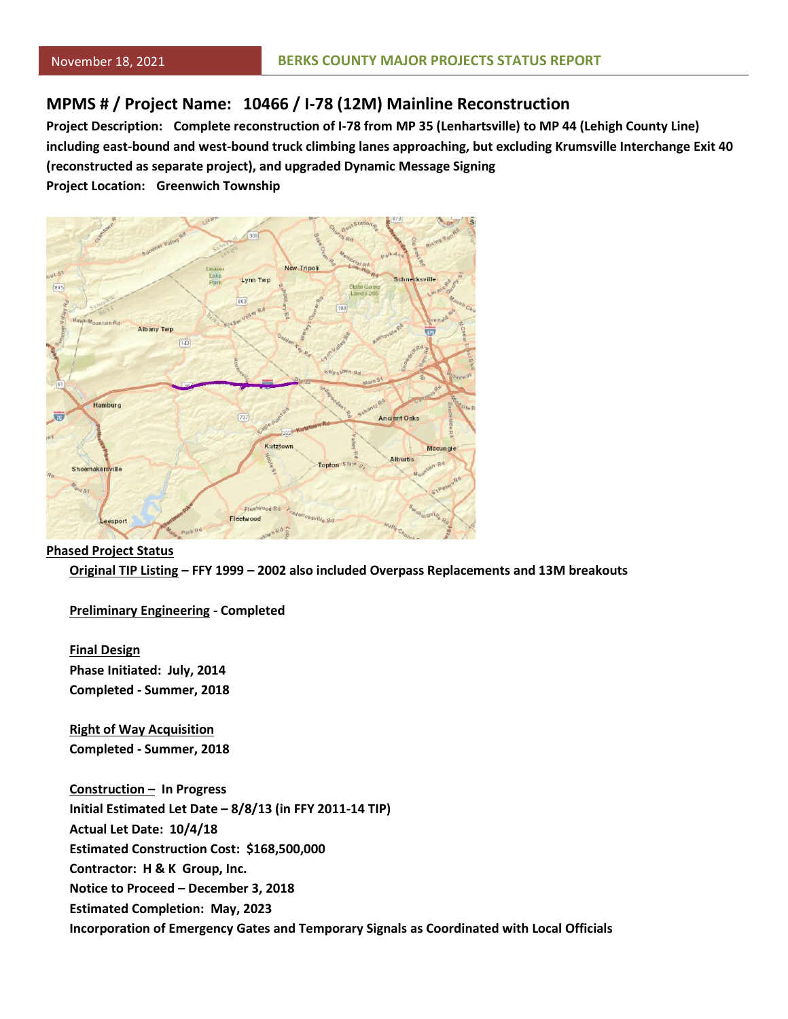# **MPMS # / Project Name: 10466 / I-78 (12M) Mainline Reconstruction**

**Project Description: Complete reconstruction of I-78 from MP 35 (Lenhartsville) to MP 44 (Lehigh County Line) including east-bound and west-bound truck climbing lanes approaching, but excluding Krumsville Interchange Exit 40 (reconstructed as separate project), and upgraded Dynamic Message Signing**

**Project Location: Greenwich Township**



#### **Phased Project Status**

**Original TIP Listing – FFY 1999 – 2002 also included Overpass Replacements and 13M breakouts**

**Preliminary Engineering - Completed**

**Final Design Phase Initiated: July, 2014 Completed - Summer, 2018**

**Right of Way Acquisition Completed - Summer, 2018**

**Construction – In Progress Initial Estimated Let Date – 8/8/13 (in FFY 2011-14 TIP) Actual Let Date: 10/4/18 Estimated Construction Cost: \$168,500,000 Contractor: H & K Group, Inc. Notice to Proceed – December 3, 2018 Estimated Completion: May, 2023 Incorporation of Emergency Gates and Temporary Signals as Coordinated with Local Officials**